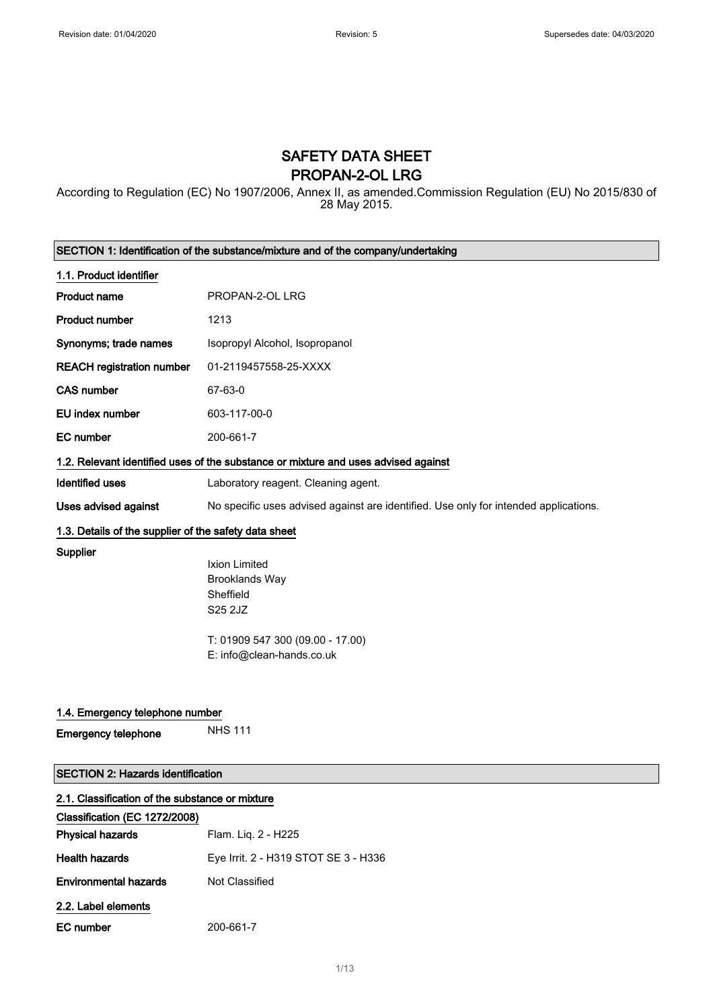# SAFETY DATA SHEET PROPAN-2-OL LRG

According to Regulation (EC) No 1907/2006, Annex II, as amended.Commission Regulation (EU) No 2015/830 of 28 May 2015.

|                                                       | SECTION 1: Identification of the substance/mixture and of the company/undertaking                                               |
|-------------------------------------------------------|---------------------------------------------------------------------------------------------------------------------------------|
| 1.1. Product identifier                               |                                                                                                                                 |
| <b>Product name</b>                                   | PROPAN-2-OL LRG                                                                                                                 |
| <b>Product number</b>                                 | 1213                                                                                                                            |
| Synonyms; trade names                                 | Isopropyl Alcohol, Isopropanol                                                                                                  |
| <b>REACH registration number</b>                      | 01-2119457558-25-XXXX                                                                                                           |
| <b>CAS number</b>                                     | 67-63-0                                                                                                                         |
| EU index number                                       | 603-117-00-0                                                                                                                    |
| <b>EC</b> number                                      | 200-661-7                                                                                                                       |
|                                                       | 1.2. Relevant identified uses of the substance or mixture and uses advised against                                              |
| <b>Identified uses</b>                                | Laboratory reagent. Cleaning agent.                                                                                             |
| Uses advised against                                  | No specific uses advised against are identified. Use only for intended applications.                                            |
| 1.3. Details of the supplier of the safety data sheet |                                                                                                                                 |
| Supplier                                              | Ixion Limited<br><b>Brooklands Way</b><br>Sheffield<br>S25 2JZ<br>T: 01909 547 300 (09.00 - 17.00)<br>E: info@clean-hands.co.uk |
| 1.4. Emergency telephone number                       |                                                                                                                                 |
| <b>Emergency telephone</b>                            | <b>NHS 111</b>                                                                                                                  |
| <b>SECTION 2: Hazards identification</b>              |                                                                                                                                 |
| 2.1. Classification of the substance or mixture       |                                                                                                                                 |
| Classification (EC 1272/2008)                         |                                                                                                                                 |
| <b>Physical hazards</b>                               | Flam. Liq. 2 - H225                                                                                                             |
| <b>Health hazards</b>                                 | Eye Irrit. 2 - H319 STOT SE 3 - H336                                                                                            |
| <b>Environmental hazards</b>                          | Not Classified                                                                                                                  |

2.2. Label elements

| EC number | 200-661-7 |
|-----------|-----------|
|           |           |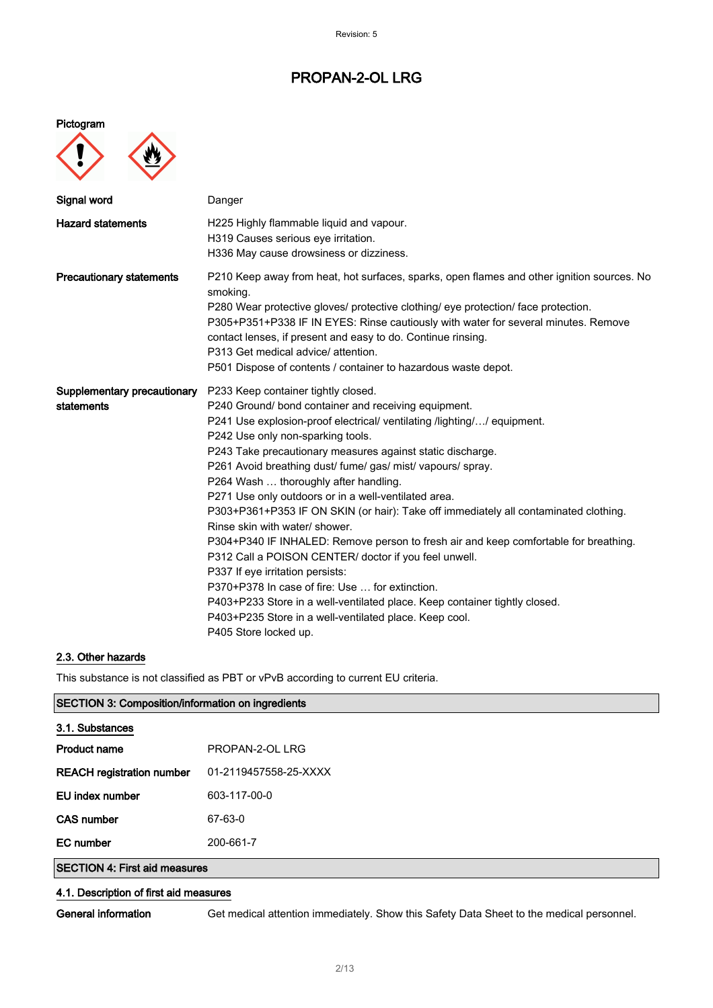Pictogram



| Signal word                     | Danger                                                                                                                                                                                                                                                                                                                                                                                                                                                     |
|---------------------------------|------------------------------------------------------------------------------------------------------------------------------------------------------------------------------------------------------------------------------------------------------------------------------------------------------------------------------------------------------------------------------------------------------------------------------------------------------------|
| <b>Hazard statements</b>        | H225 Highly flammable liquid and vapour.<br>H319 Causes serious eye irritation.<br>H336 May cause drowsiness or dizziness.                                                                                                                                                                                                                                                                                                                                 |
| <b>Precautionary statements</b> | P210 Keep away from heat, hot surfaces, sparks, open flames and other ignition sources. No<br>smoking.<br>P280 Wear protective gloves/ protective clothing/ eye protection/ face protection.<br>P305+P351+P338 IF IN EYES: Rinse cautiously with water for several minutes. Remove<br>contact lenses, if present and easy to do. Continue rinsing.<br>P313 Get medical advice/attention.<br>P501 Dispose of contents / container to hazardous waste depot. |
| Supplementary precautionary     | P233 Keep container tightly closed.                                                                                                                                                                                                                                                                                                                                                                                                                        |
| statements                      | P240 Ground/ bond container and receiving equipment.                                                                                                                                                                                                                                                                                                                                                                                                       |
|                                 | P241 Use explosion-proof electrical/ ventilating /lighting// equipment.                                                                                                                                                                                                                                                                                                                                                                                    |
|                                 | P242 Use only non-sparking tools.                                                                                                                                                                                                                                                                                                                                                                                                                          |
|                                 | P243 Take precautionary measures against static discharge.                                                                                                                                                                                                                                                                                                                                                                                                 |
|                                 | P261 Avoid breathing dust/ fume/ gas/ mist/ vapours/ spray.                                                                                                                                                                                                                                                                                                                                                                                                |
|                                 | P264 Wash  thoroughly after handling.                                                                                                                                                                                                                                                                                                                                                                                                                      |
|                                 | P271 Use only outdoors or in a well-ventilated area.                                                                                                                                                                                                                                                                                                                                                                                                       |
|                                 | P303+P361+P353 IF ON SKIN (or hair): Take off immediately all contaminated clothing.                                                                                                                                                                                                                                                                                                                                                                       |
|                                 | Rinse skin with water/ shower.                                                                                                                                                                                                                                                                                                                                                                                                                             |
|                                 | P304+P340 IF INHALED: Remove person to fresh air and keep comfortable for breathing.                                                                                                                                                                                                                                                                                                                                                                       |
|                                 | P312 Call a POISON CENTER/ doctor if you feel unwell.                                                                                                                                                                                                                                                                                                                                                                                                      |
|                                 | P337 If eye irritation persists:                                                                                                                                                                                                                                                                                                                                                                                                                           |
|                                 | P370+P378 In case of fire: Use  for extinction.                                                                                                                                                                                                                                                                                                                                                                                                            |
|                                 | P403+P233 Store in a well-ventilated place. Keep container tightly closed.                                                                                                                                                                                                                                                                                                                                                                                 |
|                                 | P403+P235 Store in a well-ventilated place. Keep cool.                                                                                                                                                                                                                                                                                                                                                                                                     |
|                                 | P405 Store locked up.                                                                                                                                                                                                                                                                                                                                                                                                                                      |

### 2.3. Other hazards

This substance is not classified as PBT or vPvB according to current EU criteria.

| <b>SECTION 3: Composition/information on ingredients</b> |                       |
|----------------------------------------------------------|-----------------------|
| 3.1. Substances                                          |                       |
| <b>Product name</b>                                      | PROPAN-2-OL LRG       |
| <b>REACH registration number</b>                         | 01-2119457558-25-XXXX |
| EU index number                                          | 603-117-00-0          |
| <b>CAS number</b>                                        | 67-63-0               |
| <b>EC</b> number                                         | 200-661-7             |
| <b>SECTION 4: First aid measures</b>                     |                       |

#### 4.1. Description of first aid measures

General information Get medical attention immediately. Show this Safety Data Sheet to the medical personnel.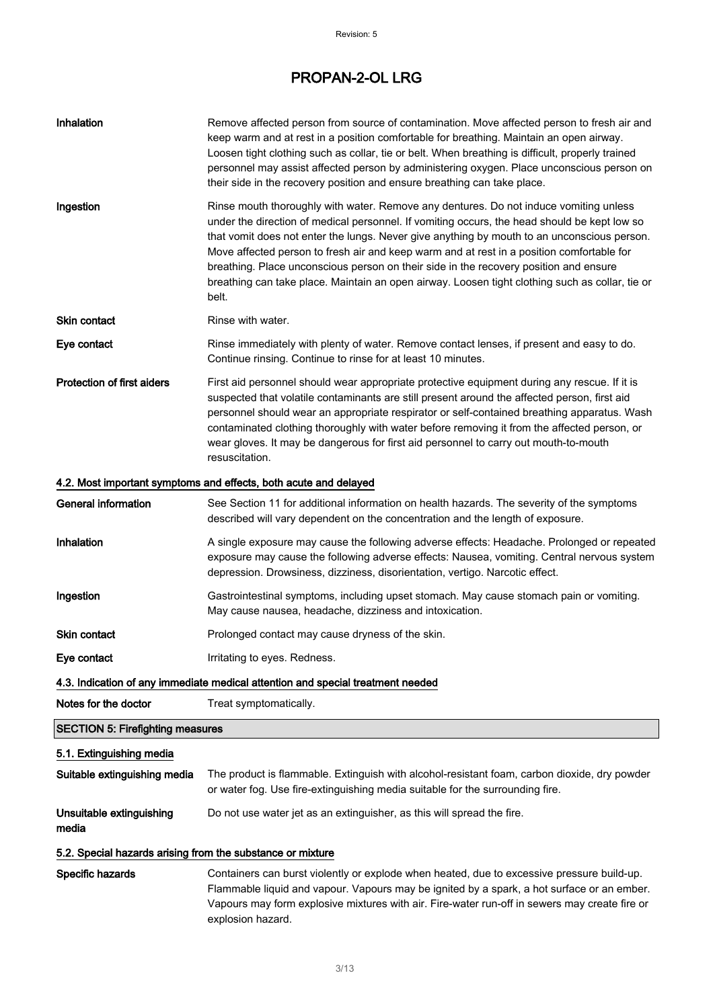| Inhalation                                                 | Remove affected person from source of contamination. Move affected person to fresh air and<br>keep warm and at rest in a position comfortable for breathing. Maintain an open airway.<br>Loosen tight clothing such as collar, tie or belt. When breathing is difficult, properly trained<br>personnel may assist affected person by administering oxygen. Place unconscious person on<br>their side in the recovery position and ensure breathing can take place.                                                                                                                     |
|------------------------------------------------------------|----------------------------------------------------------------------------------------------------------------------------------------------------------------------------------------------------------------------------------------------------------------------------------------------------------------------------------------------------------------------------------------------------------------------------------------------------------------------------------------------------------------------------------------------------------------------------------------|
| Ingestion                                                  | Rinse mouth thoroughly with water. Remove any dentures. Do not induce vomiting unless<br>under the direction of medical personnel. If vomiting occurs, the head should be kept low so<br>that vomit does not enter the lungs. Never give anything by mouth to an unconscious person.<br>Move affected person to fresh air and keep warm and at rest in a position comfortable for<br>breathing. Place unconscious person on their side in the recovery position and ensure<br>breathing can take place. Maintain an open airway. Loosen tight clothing such as collar, tie or<br>belt. |
| Skin contact                                               | Rinse with water.                                                                                                                                                                                                                                                                                                                                                                                                                                                                                                                                                                      |
| Eye contact                                                | Rinse immediately with plenty of water. Remove contact lenses, if present and easy to do.<br>Continue rinsing. Continue to rinse for at least 10 minutes.                                                                                                                                                                                                                                                                                                                                                                                                                              |
| <b>Protection of first aiders</b>                          | First aid personnel should wear appropriate protective equipment during any rescue. If it is<br>suspected that volatile contaminants are still present around the affected person, first aid<br>personnel should wear an appropriate respirator or self-contained breathing apparatus. Wash<br>contaminated clothing thoroughly with water before removing it from the affected person, or<br>wear gloves. It may be dangerous for first aid personnel to carry out mouth-to-mouth<br>resuscitation.                                                                                   |
|                                                            | 4.2. Most important symptoms and effects, both acute and delayed                                                                                                                                                                                                                                                                                                                                                                                                                                                                                                                       |
| <b>General information</b>                                 | See Section 11 for additional information on health hazards. The severity of the symptoms<br>described will vary dependent on the concentration and the length of exposure.                                                                                                                                                                                                                                                                                                                                                                                                            |
| Inhalation                                                 | A single exposure may cause the following adverse effects: Headache. Prolonged or repeated<br>exposure may cause the following adverse effects: Nausea, vomiting. Central nervous system<br>depression. Drowsiness, dizziness, disorientation, vertigo. Narcotic effect.                                                                                                                                                                                                                                                                                                               |
| Ingestion                                                  | Gastrointestinal symptoms, including upset stomach. May cause stomach pain or vomiting.<br>May cause nausea, headache, dizziness and intoxication.                                                                                                                                                                                                                                                                                                                                                                                                                                     |
| Skin contact                                               | Prolonged contact may cause dryness of the skin.                                                                                                                                                                                                                                                                                                                                                                                                                                                                                                                                       |
| Eye contact                                                | Irritating to eyes. Redness.                                                                                                                                                                                                                                                                                                                                                                                                                                                                                                                                                           |
|                                                            | 4.3. Indication of any immediate medical attention and special treatment needed                                                                                                                                                                                                                                                                                                                                                                                                                                                                                                        |
| Notes for the doctor                                       | Treat symptomatically.                                                                                                                                                                                                                                                                                                                                                                                                                                                                                                                                                                 |
| <b>SECTION 5: Firefighting measures</b>                    |                                                                                                                                                                                                                                                                                                                                                                                                                                                                                                                                                                                        |
| 5.1. Extinguishing media                                   |                                                                                                                                                                                                                                                                                                                                                                                                                                                                                                                                                                                        |
| Suitable extinguishing media                               | The product is flammable. Extinguish with alcohol-resistant foam, carbon dioxide, dry powder<br>or water fog. Use fire-extinguishing media suitable for the surrounding fire.                                                                                                                                                                                                                                                                                                                                                                                                          |
| Unsuitable extinguishing<br>media                          | Do not use water jet as an extinguisher, as this will spread the fire.                                                                                                                                                                                                                                                                                                                                                                                                                                                                                                                 |
| 5.2. Special hazards arising from the substance or mixture |                                                                                                                                                                                                                                                                                                                                                                                                                                                                                                                                                                                        |
| Specific hazards                                           | Containers can burst violently or explode when heated, due to excessive pressure build-up.<br>Flammable liquid and vapour. Vapours may be ignited by a spark, a hot surface or an ember.<br>Vapours may form explosive mixtures with air. Fire-water run-off in sewers may create fire or<br>explosion hazard.                                                                                                                                                                                                                                                                         |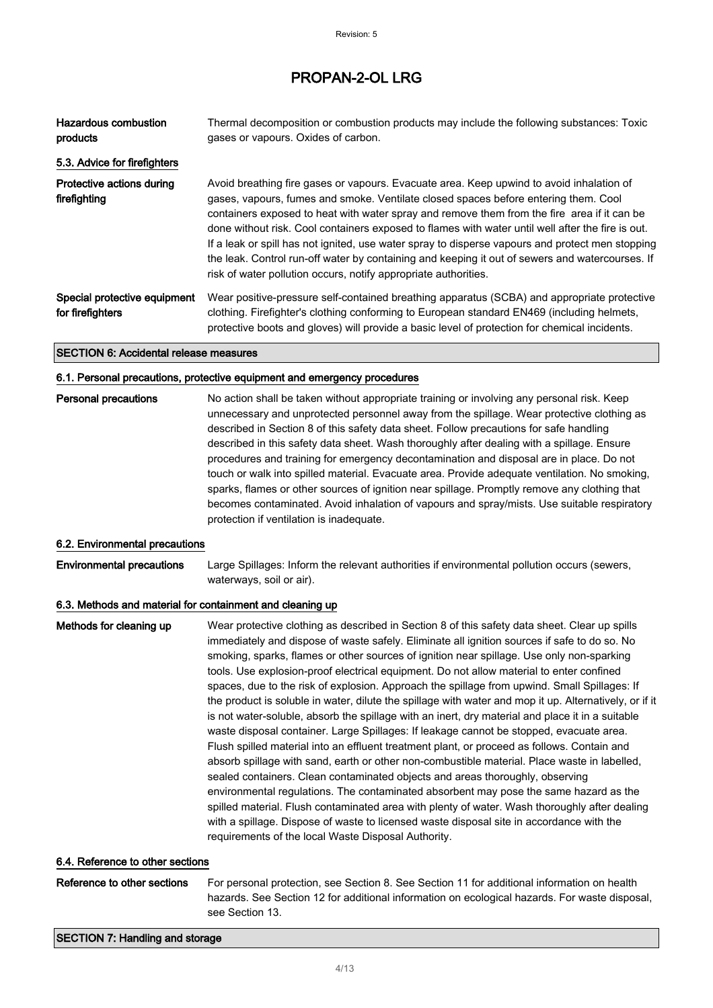| <b>Hazardous combustion</b><br>products          | Thermal decomposition or combustion products may include the following substances: Toxic<br>gases or vapours. Oxides of carbon.                                                                                                                                                                                                                                                                                                                                                                                                                                                                                                                               |
|--------------------------------------------------|---------------------------------------------------------------------------------------------------------------------------------------------------------------------------------------------------------------------------------------------------------------------------------------------------------------------------------------------------------------------------------------------------------------------------------------------------------------------------------------------------------------------------------------------------------------------------------------------------------------------------------------------------------------|
| 5.3. Advice for firefighters                     |                                                                                                                                                                                                                                                                                                                                                                                                                                                                                                                                                                                                                                                               |
| Protective actions during<br>firefighting        | Avoid breathing fire gases or vapours. Evacuate area. Keep upwind to avoid inhalation of<br>gases, vapours, fumes and smoke. Ventilate closed spaces before entering them. Cool<br>containers exposed to heat with water spray and remove them from the fire area if it can be<br>done without risk. Cool containers exposed to flames with water until well after the fire is out.<br>If a leak or spill has not ignited, use water spray to disperse vapours and protect men stopping<br>the leak. Control run-off water by containing and keeping it out of sewers and watercourses. If<br>risk of water pollution occurs, notify appropriate authorities. |
| Special protective equipment<br>for firefighters | Wear positive-pressure self-contained breathing apparatus (SCBA) and appropriate protective<br>clothing. Firefighter's clothing conforming to European standard EN469 (including helmets,<br>protective boots and gloves) will provide a basic level of protection for chemical incidents.                                                                                                                                                                                                                                                                                                                                                                    |

SECTION 6: Accidental release measures

### 6.1. Personal precautions, protective equipment and emergency procedures

| <b>Personal precautions</b> | No action shall be taken without appropriate training or involving any personal risk. Keep<br>unnecessary and unprotected personnel away from the spillage. Wear protective clothing as<br>described in Section 8 of this safety data sheet. Follow precautions for safe handling<br>described in this safety data sheet. Wash thoroughly after dealing with a spillage. Ensure<br>procedures and training for emergency decontamination and disposal are in place. Do not<br>touch or walk into spilled material. Evacuate area. Provide adequate ventilation. No smoking,<br>sparks, flames or other sources of ignition near spillage. Promptly remove any clothing that<br>becomes contaminated. Avoid inhalation of vapours and spray/mists. Use suitable respiratory |
|-----------------------------|----------------------------------------------------------------------------------------------------------------------------------------------------------------------------------------------------------------------------------------------------------------------------------------------------------------------------------------------------------------------------------------------------------------------------------------------------------------------------------------------------------------------------------------------------------------------------------------------------------------------------------------------------------------------------------------------------------------------------------------------------------------------------|
|                             | protection if ventilation is inadequate.                                                                                                                                                                                                                                                                                                                                                                                                                                                                                                                                                                                                                                                                                                                                   |

#### 6.2. Environmental precautions

Environmental precautions Large Spillages: Inform the relevant authorities if environmental pollution occurs (sewers, waterways, soil or air).

#### 6.3. Methods and material for containment and cleaning up

| Methods for cleaning up | Wear protective clothing as described in Section 8 of this safety data sheet. Clear up spills<br>immediately and dispose of waste safely. Eliminate all ignition sources if safe to do so. No<br>smoking, sparks, flames or other sources of ignition near spillage. Use only non-sparking |
|-------------------------|--------------------------------------------------------------------------------------------------------------------------------------------------------------------------------------------------------------------------------------------------------------------------------------------|
|                         | tools. Use explosion-proof electrical equipment. Do not allow material to enter confined                                                                                                                                                                                                   |
|                         | spaces, due to the risk of explosion. Approach the spillage from upwind. Small Spillages: If                                                                                                                                                                                               |
|                         | the product is soluble in water, dilute the spillage with water and mop it up. Alternatively, or if it                                                                                                                                                                                     |
|                         | is not water-soluble, absorb the spillage with an inert, dry material and place it in a suitable<br>waste disposal container. Large Spillages: If leakage cannot be stopped, evacuate area.                                                                                                |
|                         | Flush spilled material into an effluent treatment plant, or proceed as follows. Contain and                                                                                                                                                                                                |
|                         | absorb spillage with sand, earth or other non-combustible material. Place waste in labelled,<br>sealed containers. Clean contaminated objects and areas thoroughly, observing                                                                                                              |
|                         | environmental regulations. The contaminated absorbent may pose the same hazard as the                                                                                                                                                                                                      |
|                         | spilled material. Flush contaminated area with plenty of water. Wash thoroughly after dealing                                                                                                                                                                                              |
|                         | with a spillage. Dispose of waste to licensed waste disposal site in accordance with the                                                                                                                                                                                                   |
|                         | requirements of the local Waste Disposal Authority.                                                                                                                                                                                                                                        |
|                         |                                                                                                                                                                                                                                                                                            |

#### 6.4. Reference to other sections

Reference to other sections For personal protection, see Section 8. See Section 11 for additional information on health hazards. See Section 12 for additional information on ecological hazards. For waste disposal, see Section 13.

#### SECTION 7: Handling and storage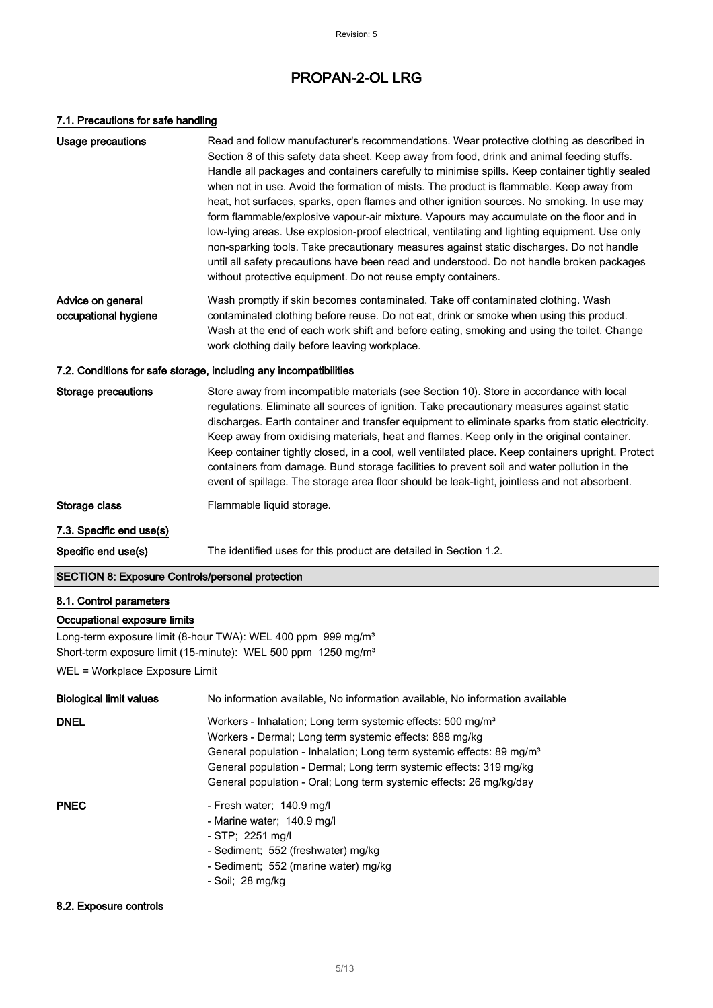### 7.1. Precautions for safe handling

| Usage precautions                                       | Read and follow manufacturer's recommendations. Wear protective clothing as described in<br>Section 8 of this safety data sheet. Keep away from food, drink and animal feeding stuffs.<br>Handle all packages and containers carefully to minimise spills. Keep container tightly sealed<br>when not in use. Avoid the formation of mists. The product is flammable. Keep away from<br>heat, hot surfaces, sparks, open flames and other ignition sources. No smoking. In use may<br>form flammable/explosive vapour-air mixture. Vapours may accumulate on the floor and in<br>low-lying areas. Use explosion-proof electrical, ventilating and lighting equipment. Use only<br>non-sparking tools. Take precautionary measures against static discharges. Do not handle<br>until all safety precautions have been read and understood. Do not handle broken packages<br>without protective equipment. Do not reuse empty containers. |  |  |
|---------------------------------------------------------|----------------------------------------------------------------------------------------------------------------------------------------------------------------------------------------------------------------------------------------------------------------------------------------------------------------------------------------------------------------------------------------------------------------------------------------------------------------------------------------------------------------------------------------------------------------------------------------------------------------------------------------------------------------------------------------------------------------------------------------------------------------------------------------------------------------------------------------------------------------------------------------------------------------------------------------|--|--|
| Advice on general<br>occupational hygiene               | Wash promptly if skin becomes contaminated. Take off contaminated clothing. Wash<br>contaminated clothing before reuse. Do not eat, drink or smoke when using this product.<br>Wash at the end of each work shift and before eating, smoking and using the toilet. Change<br>work clothing daily before leaving workplace.                                                                                                                                                                                                                                                                                                                                                                                                                                                                                                                                                                                                             |  |  |
|                                                         | 7.2. Conditions for safe storage, including any incompatibilities                                                                                                                                                                                                                                                                                                                                                                                                                                                                                                                                                                                                                                                                                                                                                                                                                                                                      |  |  |
| <b>Storage precautions</b>                              | Store away from incompatible materials (see Section 10). Store in accordance with local<br>regulations. Eliminate all sources of ignition. Take precautionary measures against static<br>discharges. Earth container and transfer equipment to eliminate sparks from static electricity.<br>Keep away from oxidising materials, heat and flames. Keep only in the original container.<br>Keep container tightly closed, in a cool, well ventilated place. Keep containers upright. Protect<br>containers from damage. Bund storage facilities to prevent soil and water pollution in the<br>event of spillage. The storage area floor should be leak-tight, jointless and not absorbent.                                                                                                                                                                                                                                               |  |  |
| Storage class                                           | Flammable liquid storage.                                                                                                                                                                                                                                                                                                                                                                                                                                                                                                                                                                                                                                                                                                                                                                                                                                                                                                              |  |  |
| 7.3. Specific end use(s)                                |                                                                                                                                                                                                                                                                                                                                                                                                                                                                                                                                                                                                                                                                                                                                                                                                                                                                                                                                        |  |  |
| Specific end use(s)                                     | The identified uses for this product are detailed in Section 1.2.                                                                                                                                                                                                                                                                                                                                                                                                                                                                                                                                                                                                                                                                                                                                                                                                                                                                      |  |  |
| <b>SECTION 8: Exposure Controls/personal protection</b> |                                                                                                                                                                                                                                                                                                                                                                                                                                                                                                                                                                                                                                                                                                                                                                                                                                                                                                                                        |  |  |
| 8.1. Control parameters                                 |                                                                                                                                                                                                                                                                                                                                                                                                                                                                                                                                                                                                                                                                                                                                                                                                                                                                                                                                        |  |  |

# Occupational exposure limits

Long-term exposure limit (8-hour TWA): WEL 400 ppm 999 mg/m<sup>3</sup> Short-term exposure limit (15-minute): WEL 500 ppm 1250 mg/m<sup>3</sup>

WEL = Workplace Exposure Limit

| <b>Biological limit values</b> | No information available, No information available, No information available                                                                                                                                                                                                                                                                                         |
|--------------------------------|----------------------------------------------------------------------------------------------------------------------------------------------------------------------------------------------------------------------------------------------------------------------------------------------------------------------------------------------------------------------|
| <b>DNEL</b>                    | Workers - Inhalation: Long term systemic effects: 500 mg/m <sup>3</sup><br>Workers - Dermal; Long term systemic effects: 888 mg/kg<br>General population - Inhalation; Long term systemic effects: 89 mg/m <sup>3</sup><br>General population - Dermal; Long term systemic effects: 319 mg/kg<br>General population - Oral; Long term systemic effects: 26 mg/kg/day |
| <b>PNEC</b>                    | - Fresh water; 140.9 mg/l<br>- Marine water; 140.9 mg/l<br>$-STP$ ; 2251 mg/l<br>- Sediment: 552 (freshwater) mg/kg<br>- Sediment; 552 (marine water) mg/kg<br>- Soil; 28 mg/kg                                                                                                                                                                                      |

#### 8.2. Exposure controls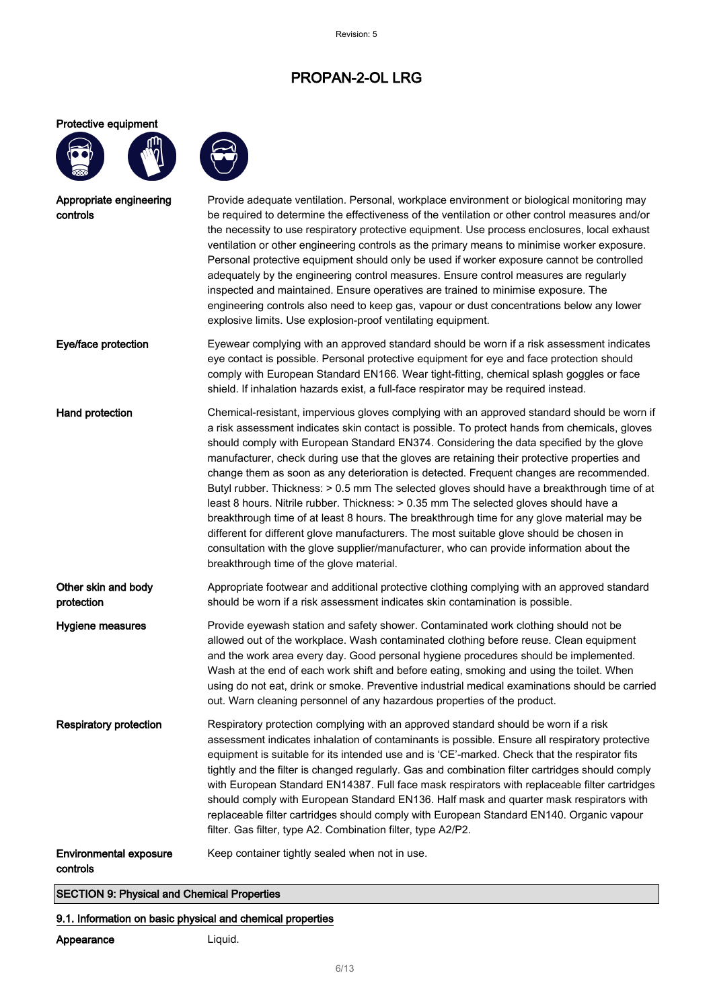Protective equipment





Appropriate engineering controls Provide adequate ventilation. Personal, workplace environment or biological monitoring may be required to determine the effectiveness of the ventilation or other control measures and/or the necessity to use respiratory protective equipment. Use process enclosures, local exhaust ventilation or other engineering controls as the primary means to minimise worker exposure. Personal protective equipment should only be used if worker exposure cannot be controlled adequately by the engineering control measures. Ensure control measures are regularly inspected and maintained. Ensure operatives are trained to minimise exposure. The engineering controls also need to keep gas, vapour or dust concentrations below any lower explosive limits. Use explosion-proof ventilating equipment. Eye/face protection Eyewear complying with an approved standard should be worn if a risk assessment indicates eye contact is possible. Personal protective equipment for eye and face protection should comply with European Standard EN166. Wear tight-fitting, chemical splash goggles or face shield. If inhalation hazards exist, a full-face respirator may be required instead. Hand protection **Chemical-resistant, impervious gloves complying with an approved standard should be worn if** a risk assessment indicates skin contact is possible. To protect hands from chemicals, gloves should comply with European Standard EN374. Considering the data specified by the glove manufacturer, check during use that the gloves are retaining their protective properties and change them as soon as any deterioration is detected. Frequent changes are recommended. Butyl rubber. Thickness: > 0.5 mm The selected gloves should have a breakthrough time of at least 8 hours. Nitrile rubber. Thickness: > 0.35 mm The selected gloves should have a breakthrough time of at least 8 hours. The breakthrough time for any glove material may be different for different glove manufacturers. The most suitable glove should be chosen in consultation with the glove supplier/manufacturer, who can provide information about the breakthrough time of the glove material. Other skin and body protection Appropriate footwear and additional protective clothing complying with an approved standard should be worn if a risk assessment indicates skin contamination is possible. Hygiene measures Provide eyewash station and safety shower. Contaminated work clothing should not be allowed out of the workplace. Wash contaminated clothing before reuse. Clean equipment and the work area every day. Good personal hygiene procedures should be implemented. Wash at the end of each work shift and before eating, smoking and using the toilet. When using do not eat, drink or smoke. Preventive industrial medical examinations should be carried out. Warn cleaning personnel of any hazardous properties of the product. Respiratory protection **Respiratory protection complying with an approved standard should be worn if a risk** assessment indicates inhalation of contaminants is possible. Ensure all respiratory protective equipment is suitable for its intended use and is 'CE'-marked. Check that the respirator fits tightly and the filter is changed regularly. Gas and combination filter cartridges should comply with European Standard EN14387. Full face mask respirators with replaceable filter cartridges should comply with European Standard EN136. Half mask and quarter mask respirators with replaceable filter cartridges should comply with European Standard EN140. Organic vapour filter. Gas filter, type A2. Combination filter, type A2/P2. Environmental exposure controls Keep container tightly sealed when not in use.

SECTION 9: Physical and Chemical Properties

#### 9.1. Information on basic physical and chemical properties

#### Appearance Liquid.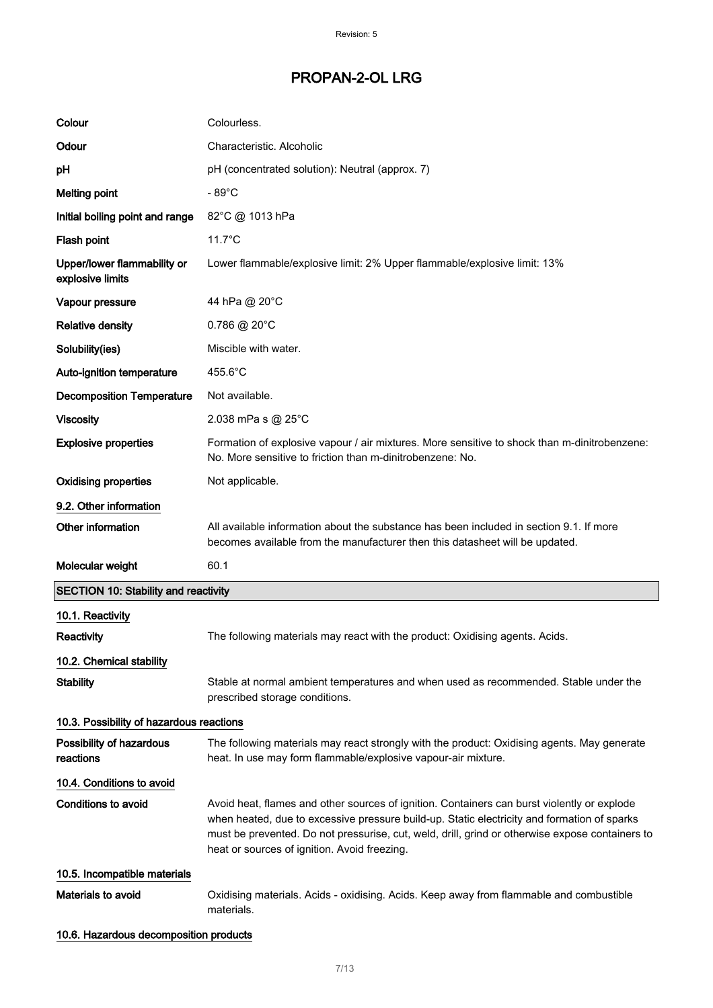| Colour                                          | Colourless.                                                                                                                                                                                                                                                                                                                                   |
|-------------------------------------------------|-----------------------------------------------------------------------------------------------------------------------------------------------------------------------------------------------------------------------------------------------------------------------------------------------------------------------------------------------|
| Odour                                           | Characteristic. Alcoholic                                                                                                                                                                                                                                                                                                                     |
| pH                                              | pH (concentrated solution): Neutral (approx. 7)                                                                                                                                                                                                                                                                                               |
| <b>Melting point</b>                            | $-89^{\circ}$ C                                                                                                                                                                                                                                                                                                                               |
| Initial boiling point and range                 | 82°C @ 1013 hPa                                                                                                                                                                                                                                                                                                                               |
| Flash point                                     | $11.7^{\circ}$ C                                                                                                                                                                                                                                                                                                                              |
| Upper/lower flammability or<br>explosive limits | Lower flammable/explosive limit: 2% Upper flammable/explosive limit: 13%                                                                                                                                                                                                                                                                      |
| Vapour pressure                                 | 44 hPa @ 20°C                                                                                                                                                                                                                                                                                                                                 |
| <b>Relative density</b>                         | $0.786 \ @ 20^{\circ}$ C                                                                                                                                                                                                                                                                                                                      |
| Solubility(ies)                                 | Miscible with water.                                                                                                                                                                                                                                                                                                                          |
| Auto-ignition temperature                       | 455.6°C                                                                                                                                                                                                                                                                                                                                       |
| <b>Decomposition Temperature</b>                | Not available.                                                                                                                                                                                                                                                                                                                                |
| <b>Viscosity</b>                                | 2.038 mPa s @ 25°C                                                                                                                                                                                                                                                                                                                            |
| <b>Explosive properties</b>                     | Formation of explosive vapour / air mixtures. More sensitive to shock than m-dinitrobenzene:<br>No. More sensitive to friction than m-dinitrobenzene: No.                                                                                                                                                                                     |
| <b>Oxidising properties</b>                     | Not applicable.                                                                                                                                                                                                                                                                                                                               |
| 9.2. Other information                          |                                                                                                                                                                                                                                                                                                                                               |
| Other information                               | All available information about the substance has been included in section 9.1. If more<br>becomes available from the manufacturer then this datasheet will be updated.                                                                                                                                                                       |
| Molecular weight                                | 60.1                                                                                                                                                                                                                                                                                                                                          |
| <b>SECTION 10: Stability and reactivity</b>     |                                                                                                                                                                                                                                                                                                                                               |
| 10.1. Reactivity                                |                                                                                                                                                                                                                                                                                                                                               |
| Reactivity                                      | The following materials may react with the product: Oxidising agents. Acids.                                                                                                                                                                                                                                                                  |
| 10.2. Chemical stability                        |                                                                                                                                                                                                                                                                                                                                               |
| <b>Stability</b>                                | Stable at normal ambient temperatures and when used as recommended. Stable under the<br>prescribed storage conditions.                                                                                                                                                                                                                        |
| 10.3. Possibility of hazardous reactions        |                                                                                                                                                                                                                                                                                                                                               |
| Possibility of hazardous<br>reactions           | The following materials may react strongly with the product: Oxidising agents. May generate<br>heat. In use may form flammable/explosive vapour-air mixture.                                                                                                                                                                                  |
| 10.4. Conditions to avoid                       |                                                                                                                                                                                                                                                                                                                                               |
| <b>Conditions to avoid</b>                      | Avoid heat, flames and other sources of ignition. Containers can burst violently or explode<br>when heated, due to excessive pressure build-up. Static electricity and formation of sparks<br>must be prevented. Do not pressurise, cut, weld, drill, grind or otherwise expose containers to<br>heat or sources of ignition. Avoid freezing. |
| 10.5. Incompatible materials                    |                                                                                                                                                                                                                                                                                                                                               |
| Materials to avoid                              | Oxidising materials. Acids - oxidising. Acids. Keep away from flammable and combustible<br>materials.                                                                                                                                                                                                                                         |
| 10.6. Hazardous decomposition products          |                                                                                                                                                                                                                                                                                                                                               |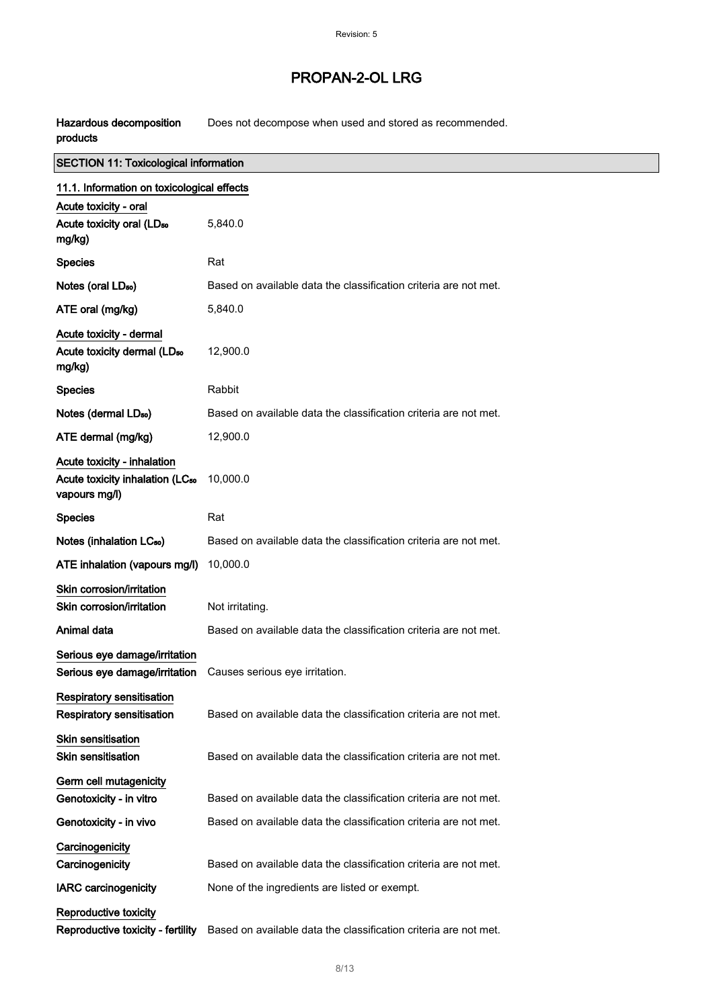┑

Hazardous decomposition products Does not decompose when used and stored as recommended.

| <b>SECTION 11: Toxicological information</b>                                                |                                                                  |
|---------------------------------------------------------------------------------------------|------------------------------------------------------------------|
| 11.1. Information on toxicological effects                                                  |                                                                  |
| Acute toxicity - oral                                                                       |                                                                  |
| Acute toxicity oral (LD <sub>50</sub><br>mg/kg)                                             | 5,840.0                                                          |
| <b>Species</b>                                                                              | Rat                                                              |
| Notes (oral LD <sub>50</sub> )                                                              | Based on available data the classification criteria are not met. |
| ATE oral (mg/kg)                                                                            | 5,840.0                                                          |
| Acute toxicity - dermal<br>Acute toxicity dermal (LD <sub>50</sub><br>mg/kg)                | 12,900.0                                                         |
| <b>Species</b>                                                                              | Rabbit                                                           |
| Notes (dermal LD <sub>50</sub> )                                                            | Based on available data the classification criteria are not met. |
| ATE dermal (mg/kg)                                                                          | 12,900.0                                                         |
| Acute toxicity - inhalation<br>Acute toxicity inhalation (LC <sub>50</sub><br>vapours mg/l) | 10,000.0                                                         |
| <b>Species</b>                                                                              | Rat                                                              |
| Notes (inhalation LC <sub>50</sub> )                                                        | Based on available data the classification criteria are not met. |
| ATE inhalation (vapours mg/l)                                                               | 10,000.0                                                         |
| Skin corrosion/irritation<br>Skin corrosion/irritation                                      | Not irritating.                                                  |
| Animal data                                                                                 | Based on available data the classification criteria are not met. |
| Serious eye damage/irritation<br>Serious eye damage/irritation                              | Causes serious eye irritation.                                   |
| <b>Respiratory sensitisation</b><br><b>Respiratory sensitisation</b>                        | Based on available data the classification criteria are not met. |
| <b>Skin sensitisation</b><br><b>Skin sensitisation</b>                                      | Based on available data the classification criteria are not met. |
| Germ cell mutagenicity<br>Genotoxicity - in vitro                                           | Based on available data the classification criteria are not met. |
| Genotoxicity - in vivo                                                                      | Based on available data the classification criteria are not met. |
| Carcinogenicity<br>Carcinogenicity                                                          | Based on available data the classification criteria are not met. |
| <b>IARC</b> carcinogenicity                                                                 | None of the ingredients are listed or exempt.                    |
| Reproductive toxicity<br>Reproductive toxicity - fertility                                  | Based on available data the classification criteria are not met. |
|                                                                                             |                                                                  |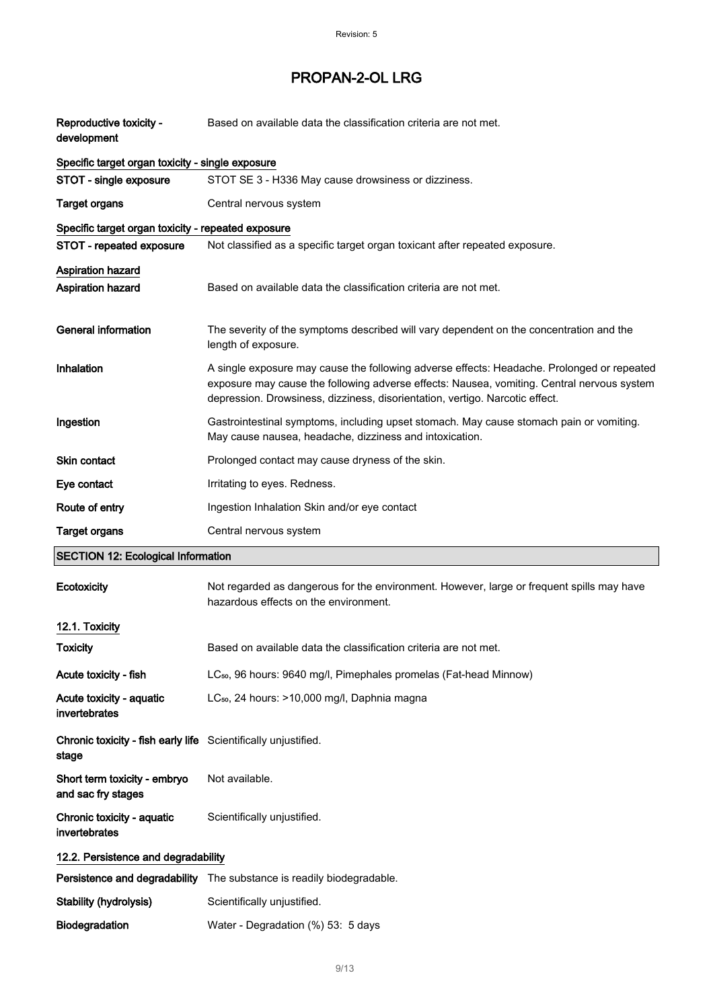| Reproductive toxicity -<br>development                                  | Based on available data the classification criteria are not met.                                                                                                                                                                                                         |  |
|-------------------------------------------------------------------------|--------------------------------------------------------------------------------------------------------------------------------------------------------------------------------------------------------------------------------------------------------------------------|--|
| Specific target organ toxicity - single exposure                        |                                                                                                                                                                                                                                                                          |  |
| STOT - single exposure                                                  | STOT SE 3 - H336 May cause drowsiness or dizziness.                                                                                                                                                                                                                      |  |
| <b>Target organs</b>                                                    | Central nervous system                                                                                                                                                                                                                                                   |  |
| Specific target organ toxicity - repeated exposure                      |                                                                                                                                                                                                                                                                          |  |
| STOT - repeated exposure                                                | Not classified as a specific target organ toxicant after repeated exposure.                                                                                                                                                                                              |  |
| <b>Aspiration hazard</b>                                                |                                                                                                                                                                                                                                                                          |  |
| Aspiration hazard                                                       | Based on available data the classification criteria are not met.                                                                                                                                                                                                         |  |
| <b>General information</b>                                              | The severity of the symptoms described will vary dependent on the concentration and the<br>length of exposure.                                                                                                                                                           |  |
| Inhalation                                                              | A single exposure may cause the following adverse effects: Headache. Prolonged or repeated<br>exposure may cause the following adverse effects: Nausea, vomiting. Central nervous system<br>depression. Drowsiness, dizziness, disorientation, vertigo. Narcotic effect. |  |
| Ingestion                                                               | Gastrointestinal symptoms, including upset stomach. May cause stomach pain or vomiting.<br>May cause nausea, headache, dizziness and intoxication.                                                                                                                       |  |
| <b>Skin contact</b>                                                     | Prolonged contact may cause dryness of the skin.                                                                                                                                                                                                                         |  |
| Eye contact                                                             | Irritating to eyes. Redness.                                                                                                                                                                                                                                             |  |
| Route of entry                                                          | Ingestion Inhalation Skin and/or eye contact                                                                                                                                                                                                                             |  |
| <b>Target organs</b>                                                    | Central nervous system                                                                                                                                                                                                                                                   |  |
| <b>SECTION 12: Ecological Information</b>                               |                                                                                                                                                                                                                                                                          |  |
| Ecotoxicity                                                             | Not regarded as dangerous for the environment. However, large or frequent spills may have<br>hazardous effects on the environment.                                                                                                                                       |  |
| 12.1. Toxicity                                                          |                                                                                                                                                                                                                                                                          |  |
| <b>Toxicity</b>                                                         | Based on available data the classification criteria are not met.                                                                                                                                                                                                         |  |
| Acute toxicity - fish                                                   | LC <sub>50</sub> , 96 hours: 9640 mg/l, Pimephales promelas (Fat-head Minnow)                                                                                                                                                                                            |  |
| Acute toxicity - aquatic<br>invertebrates                               | LC <sub>50</sub> , 24 hours: >10,000 mg/l, Daphnia magna                                                                                                                                                                                                                 |  |
| Chronic toxicity - fish early life Scientifically unjustified.<br>stage |                                                                                                                                                                                                                                                                          |  |
| Short term toxicity - embryo<br>and sac fry stages                      | Not available.                                                                                                                                                                                                                                                           |  |
| Chronic toxicity - aquatic<br>invertebrates                             | Scientifically unjustified.                                                                                                                                                                                                                                              |  |
| 12.2. Persistence and degradability                                     |                                                                                                                                                                                                                                                                          |  |
|                                                                         |                                                                                                                                                                                                                                                                          |  |
|                                                                         | Persistence and degradability The substance is readily biodegradable.                                                                                                                                                                                                    |  |
| <b>Stability (hydrolysis)</b>                                           | Scientifically unjustified.                                                                                                                                                                                                                                              |  |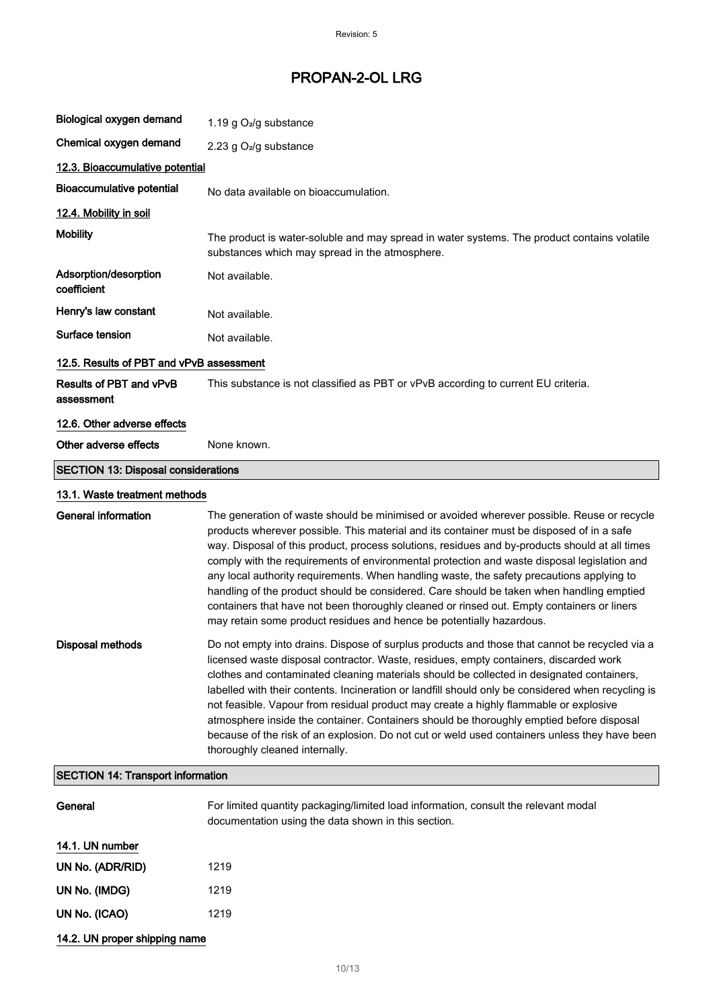| Biological oxygen demand                   | 1.19 g O <sub>2</sub> /g substance                                                                                                                                                                                                                                                                                                                                                                                                                                                                                                                                                                                                                                                                                                                      |  |
|--------------------------------------------|---------------------------------------------------------------------------------------------------------------------------------------------------------------------------------------------------------------------------------------------------------------------------------------------------------------------------------------------------------------------------------------------------------------------------------------------------------------------------------------------------------------------------------------------------------------------------------------------------------------------------------------------------------------------------------------------------------------------------------------------------------|--|
| Chemical oxygen demand                     | 2.23 g O <sub>2</sub> /g substance                                                                                                                                                                                                                                                                                                                                                                                                                                                                                                                                                                                                                                                                                                                      |  |
| 12.3. Bioaccumulative potential            |                                                                                                                                                                                                                                                                                                                                                                                                                                                                                                                                                                                                                                                                                                                                                         |  |
| <b>Bioaccumulative potential</b>           | No data available on bioaccumulation.                                                                                                                                                                                                                                                                                                                                                                                                                                                                                                                                                                                                                                                                                                                   |  |
| 12.4. Mobility in soil                     |                                                                                                                                                                                                                                                                                                                                                                                                                                                                                                                                                                                                                                                                                                                                                         |  |
| <b>Mobility</b>                            | The product is water-soluble and may spread in water systems. The product contains volatile<br>substances which may spread in the atmosphere.                                                                                                                                                                                                                                                                                                                                                                                                                                                                                                                                                                                                           |  |
| Adsorption/desorption<br>coefficient       | Not available.                                                                                                                                                                                                                                                                                                                                                                                                                                                                                                                                                                                                                                                                                                                                          |  |
| Henry's law constant                       | Not available.                                                                                                                                                                                                                                                                                                                                                                                                                                                                                                                                                                                                                                                                                                                                          |  |
| Surface tension                            | Not available.                                                                                                                                                                                                                                                                                                                                                                                                                                                                                                                                                                                                                                                                                                                                          |  |
| 12.5. Results of PBT and vPvB assessment   |                                                                                                                                                                                                                                                                                                                                                                                                                                                                                                                                                                                                                                                                                                                                                         |  |
| Results of PBT and vPvB<br>assessment      | This substance is not classified as PBT or vPvB according to current EU criteria.                                                                                                                                                                                                                                                                                                                                                                                                                                                                                                                                                                                                                                                                       |  |
| 12.6. Other adverse effects                |                                                                                                                                                                                                                                                                                                                                                                                                                                                                                                                                                                                                                                                                                                                                                         |  |
| Other adverse effects                      | None known.                                                                                                                                                                                                                                                                                                                                                                                                                                                                                                                                                                                                                                                                                                                                             |  |
| <b>SECTION 13: Disposal considerations</b> |                                                                                                                                                                                                                                                                                                                                                                                                                                                                                                                                                                                                                                                                                                                                                         |  |
| 13.1. Waste treatment methods              |                                                                                                                                                                                                                                                                                                                                                                                                                                                                                                                                                                                                                                                                                                                                                         |  |
| <b>General information</b>                 | The generation of waste should be minimised or avoided wherever possible. Reuse or recycle<br>products wherever possible. This material and its container must be disposed of in a safe<br>way. Disposal of this product, process solutions, residues and by-products should at all times<br>comply with the requirements of environmental protection and waste disposal legislation and<br>any local authority requirements. When handling waste, the safety precautions applying to<br>handling of the product should be considered. Care should be taken when handling emptied<br>containers that have not been thoroughly cleaned or rinsed out. Empty containers or liners<br>may retain some product residues and hence be potentially hazardous. |  |
| <b>Disposal methods</b>                    | Do not empty into drains. Dispose of surplus products and those that cannot be recycled via a<br>licensed waste disposal contractor. Waste, residues, empty containers, discarded work<br>clothes and contaminated cleaning materials should be collected in designated containers,<br>labelled with their contents. Incineration or landfill should only be considered when recycling is<br>not feasible. Vapour from residual product may create a highly flammable or explosive<br>atmosphere inside the container. Containers should be thoroughly emptied before disposal<br>because of the risk of an explosion. Do not cut or weld used containers unless they have been<br>thoroughly cleaned internally.                                       |  |
| <b>SECTION 14: Transport information</b>   |                                                                                                                                                                                                                                                                                                                                                                                                                                                                                                                                                                                                                                                                                                                                                         |  |
| General                                    | For limited quantity packaging/limited load information, consult the relevant modal<br>documentation using the data shown in this section.                                                                                                                                                                                                                                                                                                                                                                                                                                                                                                                                                                                                              |  |
| 14.1. UN number                            |                                                                                                                                                                                                                                                                                                                                                                                                                                                                                                                                                                                                                                                                                                                                                         |  |
| UN No. (ADR/RID)                           | 1219                                                                                                                                                                                                                                                                                                                                                                                                                                                                                                                                                                                                                                                                                                                                                    |  |
| UN No. (IMDG)                              | 1219                                                                                                                                                                                                                                                                                                                                                                                                                                                                                                                                                                                                                                                                                                                                                    |  |
| UN No. (ICAO)                              | 1219                                                                                                                                                                                                                                                                                                                                                                                                                                                                                                                                                                                                                                                                                                                                                    |  |

# 14.2. UN proper shipping name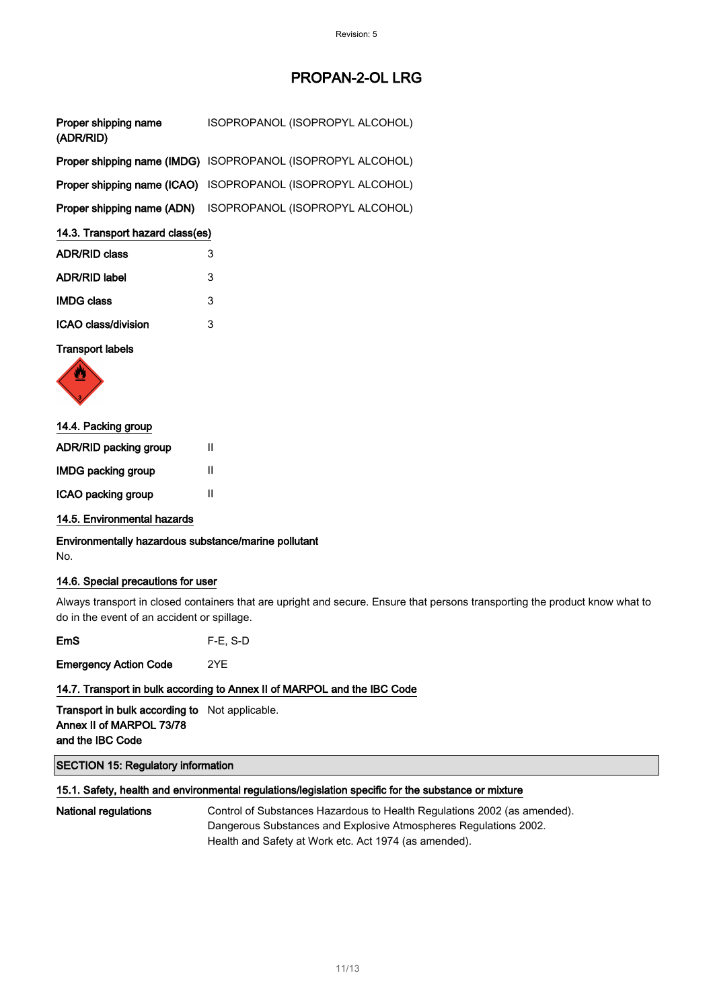| Proper shipping name<br>(ADR/RID) | ISOPROPANOL (ISOPROPYL ALCOHOL)                             |
|-----------------------------------|-------------------------------------------------------------|
|                                   | Proper shipping name (IMDG) ISOPROPANOL (ISOPROPYL ALCOHOL) |
|                                   | Proper shipping name (ICAO) ISOPROPANOL (ISOPROPYL ALCOHOL) |
|                                   | Proper shipping name (ADN) ISOPROPANOL (ISOPROPYL ALCOHOL)  |

### 14.3. Transport hazard class(es)

| <b>ADR/RID class</b> | 3 |
|----------------------|---|
| <b>ADR/RID label</b> | 3 |
| <b>IMDG class</b>    | 3 |
| ICAO class/division  | 3 |

#### Transport labels



### 14.4. Packing group

| <b>ADR/RID packing group</b> | Ш |
|------------------------------|---|
| <b>IMDG packing group</b>    | Ш |
| ICAO packing group           | Ш |

### 14.5. Environmental hazards

Environmentally hazardous substance/marine pollutant No.

#### 14.6. Special precautions for user

Always transport in closed containers that are upright and secure. Ensure that persons transporting the product know what to do in the event of an accident or spillage.

EmS F-E, S-D

Emergency Action Code 2YE

### 14.7. Transport in bulk according to Annex II of MARPOL and the IBC Code

Transport in bulk according to Not applicable. Annex II of MARPOL 73/78 and the IBC Code

### SECTION 15: Regulatory information

#### 15.1. Safety, health and environmental regulations/legislation specific for the substance or mixture

National regulations Control of Substances Hazardous to Health Regulations 2002 (as amended). Dangerous Substances and Explosive Atmospheres Regulations 2002. Health and Safety at Work etc. Act 1974 (as amended).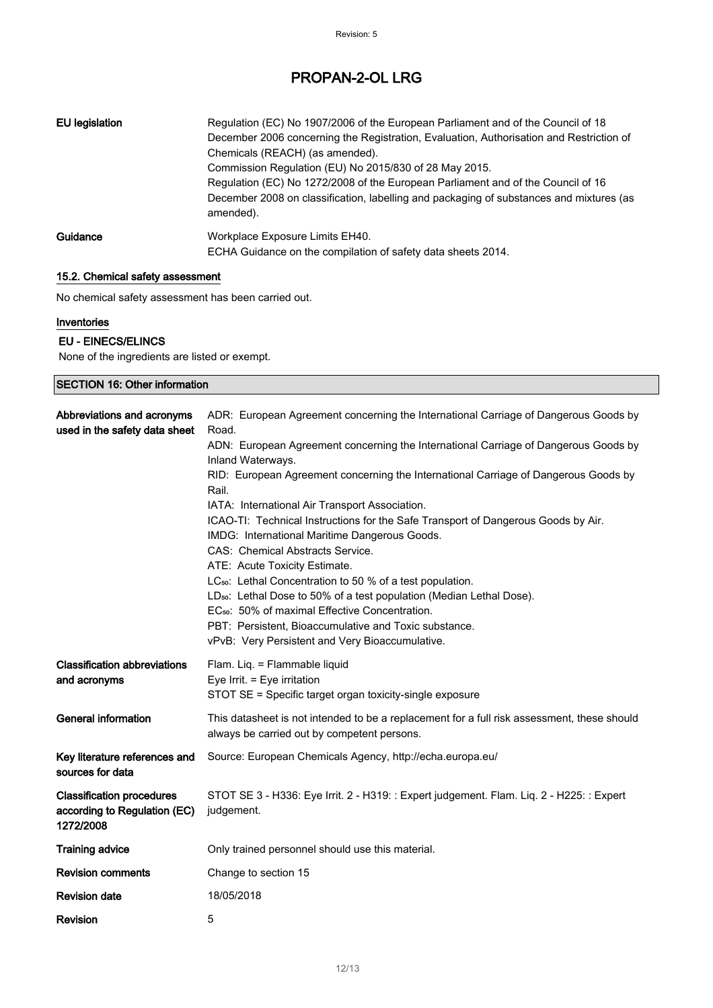| EU legislation | Regulation (EC) No 1907/2006 of the European Parliament and of the Council of 18<br>December 2006 concerning the Registration, Evaluation, Authorisation and Restriction of<br>Chemicals (REACH) (as amended).<br>Commission Regulation (EU) No 2015/830 of 28 May 2015.<br>Regulation (EC) No 1272/2008 of the European Parliament and of the Council of 16<br>December 2008 on classification, labelling and packaging of substances and mixtures (as<br>amended). |
|----------------|----------------------------------------------------------------------------------------------------------------------------------------------------------------------------------------------------------------------------------------------------------------------------------------------------------------------------------------------------------------------------------------------------------------------------------------------------------------------|
| Guidance       | Workplace Exposure Limits EH40.<br>ECHA Guidance on the compilation of safety data sheets 2014.                                                                                                                                                                                                                                                                                                                                                                      |

### 15.2. Chemical safety assessment

No chemical safety assessment has been carried out.

### **Inventories**

### EU - EINECS/ELINCS

None of the ingredients are listed or exempt.

| <b>SECTION 16: Other information</b>                                          |                                                                                                                                                                                                                                                                                                                                                                                                                                                                                                                                                                                                                                                                                                                                                                                                                                                                                                              |
|-------------------------------------------------------------------------------|--------------------------------------------------------------------------------------------------------------------------------------------------------------------------------------------------------------------------------------------------------------------------------------------------------------------------------------------------------------------------------------------------------------------------------------------------------------------------------------------------------------------------------------------------------------------------------------------------------------------------------------------------------------------------------------------------------------------------------------------------------------------------------------------------------------------------------------------------------------------------------------------------------------|
| Abbreviations and acronyms<br>used in the safety data sheet                   | ADR: European Agreement concerning the International Carriage of Dangerous Goods by<br>Road.<br>ADN: European Agreement concerning the International Carriage of Dangerous Goods by<br>Inland Waterways.<br>RID: European Agreement concerning the International Carriage of Dangerous Goods by<br>Rail.<br>IATA: International Air Transport Association.<br>ICAO-TI: Technical Instructions for the Safe Transport of Dangerous Goods by Air.<br>IMDG: International Maritime Dangerous Goods.<br>CAS: Chemical Abstracts Service.<br>ATE: Acute Toxicity Estimate.<br>LC <sub>50</sub> : Lethal Concentration to 50 % of a test population.<br>LD <sub>50</sub> : Lethal Dose to 50% of a test population (Median Lethal Dose).<br>EC <sub>50</sub> : 50% of maximal Effective Concentration.<br>PBT: Persistent. Bioaccumulative and Toxic substance.<br>vPvB: Very Persistent and Very Bioaccumulative. |
| <b>Classification abbreviations</b><br>and acronyms                           | Flam. Liq. = Flammable liquid<br>Eye Irrit. = Eye irritation<br>STOT SE = Specific target organ toxicity-single exposure                                                                                                                                                                                                                                                                                                                                                                                                                                                                                                                                                                                                                                                                                                                                                                                     |
| <b>General information</b>                                                    | This datasheet is not intended to be a replacement for a full risk assessment, these should<br>always be carried out by competent persons.                                                                                                                                                                                                                                                                                                                                                                                                                                                                                                                                                                                                                                                                                                                                                                   |
| Key literature references and<br>sources for data                             | Source: European Chemicals Agency, http://echa.europa.eu/                                                                                                                                                                                                                                                                                                                                                                                                                                                                                                                                                                                                                                                                                                                                                                                                                                                    |
| <b>Classification procedures</b><br>according to Regulation (EC)<br>1272/2008 | STOT SE 3 - H336: Eye Irrit. 2 - H319: : Expert judgement. Flam. Liq. 2 - H225: : Expert<br>judgement.                                                                                                                                                                                                                                                                                                                                                                                                                                                                                                                                                                                                                                                                                                                                                                                                       |
| <b>Training advice</b>                                                        | Only trained personnel should use this material.                                                                                                                                                                                                                                                                                                                                                                                                                                                                                                                                                                                                                                                                                                                                                                                                                                                             |
| <b>Revision comments</b>                                                      | Change to section 15                                                                                                                                                                                                                                                                                                                                                                                                                                                                                                                                                                                                                                                                                                                                                                                                                                                                                         |
| <b>Revision date</b>                                                          | 18/05/2018                                                                                                                                                                                                                                                                                                                                                                                                                                                                                                                                                                                                                                                                                                                                                                                                                                                                                                   |
| Revision                                                                      | 5                                                                                                                                                                                                                                                                                                                                                                                                                                                                                                                                                                                                                                                                                                                                                                                                                                                                                                            |